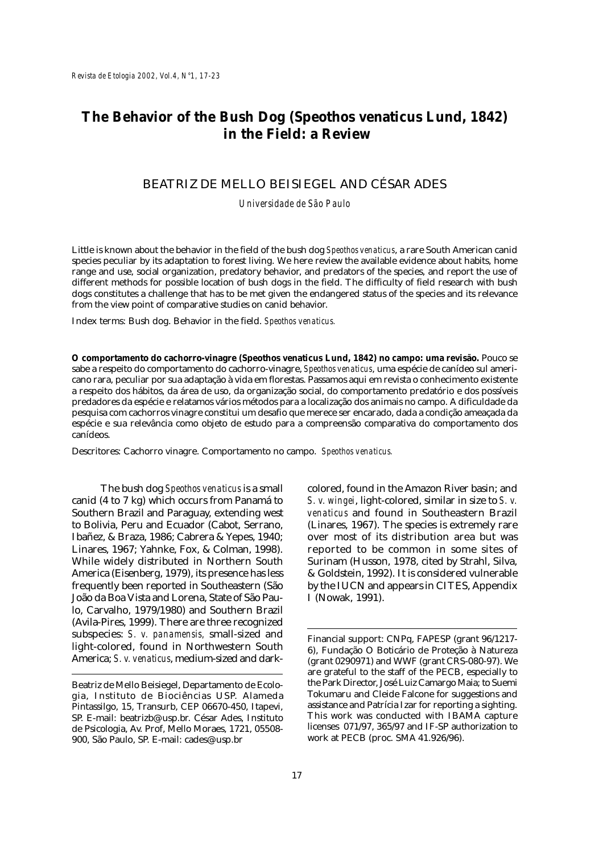# **The Behavior of the Bush Dog (***Speothos venaticus* **Lund, 1842) in the Field: a Review**

# BEATRIZ DE MELLO BEISIEGEL AND CÉSAR ADES

*Universidade de São Paulo*

Little is known about the behavior in the field of the bush dog *Speothos venaticus*, a rare South American canid species peculiar by its adaptation to forest living. We here review the available evidence about habits, home range and use, social organization, predatory behavior, and predators of the species, and report the use of different methods for possible location of bush dogs in the field. The difficulty of field research with bush dogs constitutes a challenge that has to be met given the endangered status of the species and its relevance from the view point of comparative studies on canid behavior.

Index terms: Bush dog. Behavior in the field. *Speothos venaticus.*

**O comportamento do cachorro-vinagre (***Speothos venaticus* **Lund, 1842) no campo: uma revisão.** Pouco se sabe a respeito do comportamento do cachorro-vinagre, *Speothos venaticus*, uma espécie de canídeo sul americano rara, peculiar por sua adaptação à vida em florestas. Passamos aqui em revista o conhecimento existente a respeito dos hábitos, da área de uso, da organização social, do comportamento predatório e dos possíveis predadores da espécie e relatamos vários métodos para a localização dos animais no campo. A dificuldade da pesquisa com cachorros vinagre constitui um desafio que merece ser encarado, dada a condição ameaçada da espécie e sua relevância como objeto de estudo para a compreensão comparativa do comportamento dos canídeos.

Descritores: Cachorro vinagre. Comportamento no campo. *Speothos venaticus.*

The bush dog *Speothos venaticus* is a small canid (4 to 7 kg) which occurs from Panamá to Southern Brazil and Paraguay, extending west to Bolivia, Peru and Ecuador (Cabot, Serrano, Ibañez, & Braza, 1986; Cabrera & Yepes, 1940; Linares, 1967; Yahnke, Fox, & Colman, 1998). While widely distributed in Northern South America (Eisenberg, 1979), its presence has less frequently been reported in Southeastern (São João da Boa Vista and Lorena, State of São Paulo, Carvalho, 1979/1980) and Southern Brazil (Avila-Pires, 1999). There are three recognized subspecies: *S. v. panamensis,* small-sized and light-colored, found in Northwestern South America; *S. v. venaticus*, medium-sized and darkcolored, found in the Amazon River basin; and *S. v. wingei*, light-colored, similar in size to *S. v. venaticus* and found in Southeastern Brazil (Linares, 1967). The species is extremely rare over most of its distribution area but was reported to be common in some sites of Surinam (Husson, 1978, cited by Strahl, Silva, & Goldstein, 1992). It is considered vulnerable by the IUCN and appears in CITES, Appendix I (Nowak, 1991).

Beatriz de Mello Beisiegel, Departamento de Ecologia, Instituto de Biociências USP. Alameda Pintassilgo, 15, Transurb, CEP 06670-450, Itapevi, SP. E-mail: beatrizb@usp.br. César Ades, Instituto de Psicologia, Av. Prof, Mello Moraes, 1721, 05508- 900, São Paulo, SP. E-mail: cades@usp.br

Financial support: CNPq, FAPESP (grant 96/1217- 6), Fundação O Boticário de Proteção à Natureza (grant 0290971) and WWF (grant CRS-080-97). We are grateful to the staff of the PECB, especially to the Park Director, José Luiz Camargo Maia; to Suemi Tokumaru and Cleide Falcone for suggestions and assistance and Patrícia Izar for reporting a sighting. This work was conducted with IBAMA capture licenses 071/97, 365/97 and IF-SP authorization to work at PECB (proc. SMA 41.926/96).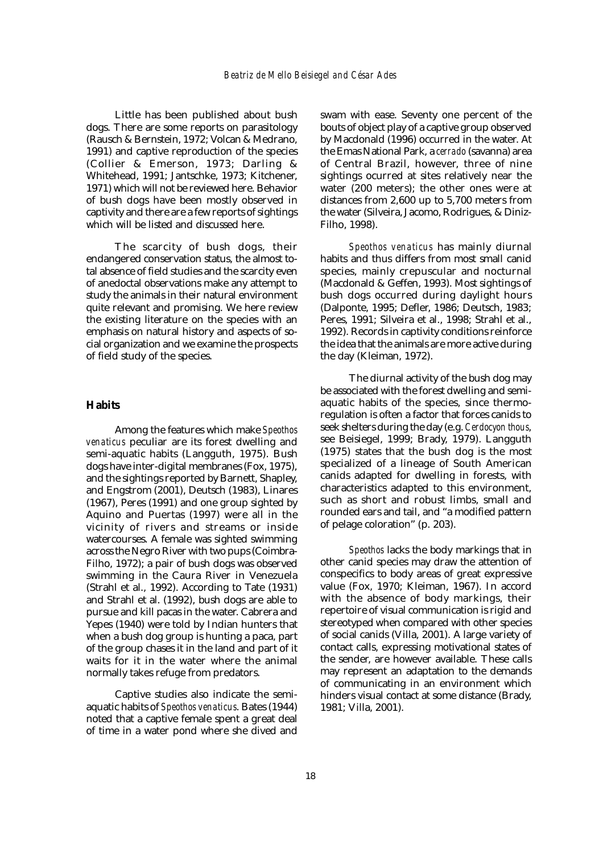Little has been published about bush dogs. There are some reports on parasitology (Rausch & Bernstein, 1972; Volcan & Medrano, 1991) and captive reproduction of the species (Collier & Emerson, 1973; Darling & Whitehead, 1991; Jantschke, 1973; Kitchener, 1971) which will not be reviewed here. Behavior of bush dogs have been mostly observed in captivity and there are a few reports of sightings which will be listed and discussed here.

The scarcity of bush dogs, their endangered conservation status, the almost total absence of field studies and the scarcity even of anedoctal observations make any attempt to study the animals in their natural environment quite relevant and promising. We here review the existing literature on the species with an emphasis on natural history and aspects of social organization and we examine the prospects of field study of the species.

### **Habits**

Among the features which make *Speothos venaticus* peculiar are its forest dwelling and semi-aquatic habits (Langguth, 1975). Bush dogs have inter-digital membranes (Fox, 1975), and the sightings reported by Barnett, Shapley, and Engstrom (2001), Deutsch (1983), Linares (1967), Peres (1991) and one group sighted by Aquino and Puertas (1997) were all in the vicinity of rivers and streams or inside watercourses. A female was sighted swimming across the Negro River with two pups (Coimbra-Filho, 1972); a pair of bush dogs was observed swimming in the Caura River in Venezuela (Strahl et al., 1992). According to Tate (1931) and Strahl et al. (1992), bush dogs are able to pursue and kill pacas in the water. Cabrera and Yepes (1940) were told by Indian hunters that when a bush dog group is hunting a paca, part of the group chases it in the land and part of it waits for it in the water where the animal normally takes refuge from predators.

Captive studies also indicate the semiaquatic habits of *Speothos venaticus*. Bates (1944) noted that a captive female spent a great deal of time in a water pond where she dived and

bouts of object play of a captive group observed<br>by Macdonald (1996) occurred in the water At swam with ease. Seventy one percent of the by Macdonald (1996) occurred in the water. At the Emas National Park, a *cerrado* (savanna) area of Central Brazil, however, three of nine sightings ocurred at sites relatively near the water (200 meters); the other ones were at distances from 2,600 up to 5,700 meters from the water (Silveira, Jacomo, Rodrigues, & Diniz-Filho, 1998).

**B** the day (Kleiman, 1972). habits and thus differs from most small canid<br>species, mainly crepuscular and nocturnal *Speothos venaticus* has mainly diurnal habits and thus differs from most small canid (Macdonald & Geffen, 1993). Most sightings of bush dogs occurred during daylight hours (Dalponte, 1995; Defler, 1986; Deutsch, 1983; Peres, 1991; Silveira et al., 1998; Strahl et al., 1992). Records in captivity conditions reinforce the idea that the animals are more active during

see Beisiegel, 1999; Brady, 1979). Langguth<br>(1975) states that the bush dog is the most<br>specialized of a lineage of South American The diurnal activity of the bush dog may be associated with the forest dwelling and semiaquatic habits of the species, since thermoregulation is often a factor that forces canids to seek shelters during the day (e.g. *Cerdocyon thous*, (1975) states that the bush dog is the most specialized of a lineage of South American canids adapted for dwelling in forests, with characteristics adapted to this environment, such as short and robust limbs, small and rounded ears and tail, and "a modified pattern of pelage coloration" (p. 203).

*Speothos* lacks the body markings that in other canid species may draw the attention of conspecifics to body areas of great expressive value (Fox, 1970; Kleiman, 1967). In accord with the absence of body markings, their repertoire of visual communication is rigid and stereotyped when compared with other species of social canids (Villa, 2001). A large variety of contact calls, expressing motivational states of the sender, are however available. These calls may represent an adaptation to the demands of communicating in an environment which hinders visual contact at some distance (Brady, 1981; Villa, 2001).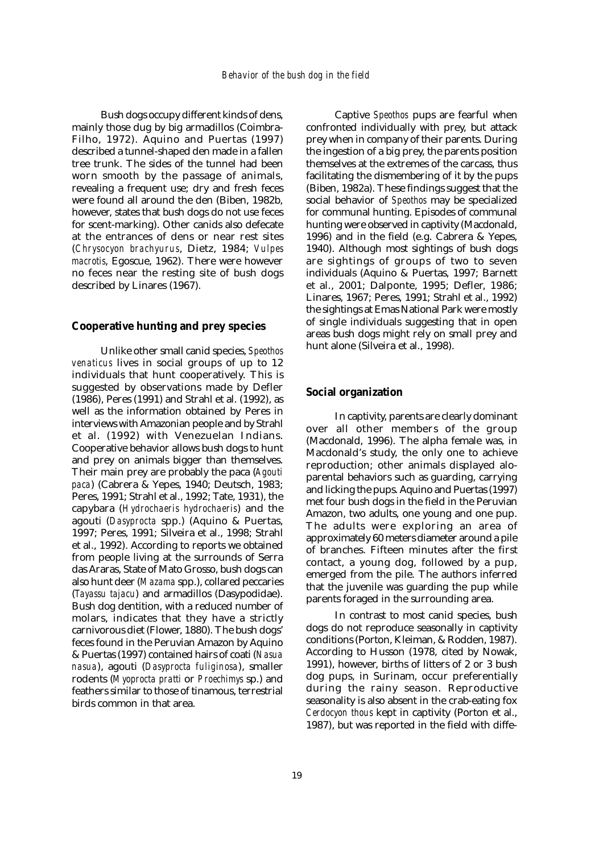Bush dogs occupy different kinds of dens, mainly those dug by big armadillos (Coimbra-Filho, 1972). Aquino and Puertas (1997) described a tunnel-shaped den made in a fallen tree trunk. The sides of the tunnel had been worn smooth by the passage of animals, revealing a frequent use; dry and fresh feces were found all around the den (Biben, 1982b, however, states that bush dogs do not use feces for scent-marking). Other canids also defecate at the entrances of dens or near rest sites (*Chrysocyon brachyurus*, Dietz, 1984; *Vulpes macrotis*, Egoscue, 1962). There were however no feces near the resting site of bush dogs described by Linares (1967).

# **Cooperative hunting and prey species**

Unlike other small canid species, *Speothos venaticus* lives in social groups of up to 12 individuals that hunt cooperatively. This is suggested by observations made by Defler (1986), Peres (1991) and Strahl et al. (1992), as well as the information obtained by Peres in interviews with Amazonian people and by Strahl et al. (1992) with Venezuelan Indians. Cooperative behavior allows bush dogs to hunt and prey on animals bigger than themselves. Their main prey are probably the paca (*Agouti paca*) (Cabrera & Yepes, 1940; Deutsch, 1983; Peres, 1991; Strahl et al., 1992; Tate, 1931), the capybara (*Hydrochaeris hydrochaeris*) and the agouti (*Dasyprocta* spp.) (Aquino & Puertas, 1997; Peres, 1991; Silveira et al., 1998; Strahl et al., 1992). According to reports we obtained from people living at the surrounds of Serra das Araras, State of Mato Grosso, bush dogs can also hunt deer (*Mazama* spp.), collared peccaries (*Tayassu tajacu*) and armadillos (Dasypodidae). Bush dog dentition, with a reduced number of molars, indicates that they have a strictly carnivorous diet (Flower, 1880). The bush dogs' feces found in the Peruvian Amazon by Aquino & Puertas (1997) contained hairs of coati (*Nasua nasua*), agouti (*Dasyprocta fuliginosa*), smaller rodents (*Myoprocta pratti* or *Proechimys* sp.) and feathers similar to those of tinamous, terrestrial birds common in that area.

Captive *Speothos* pups are fearful when confronted individually with prey, but attack prey when in company of their parents. During the ingestion of a big prey, the parents position themselves at the extremes of the carcass, thus facilitating the dismembering of it by the pups (Biben, 1982a). These findings suggest that the social behavior of *Speothos* may be specialized for communal hunting. Episodes of communal hunting were observed in captivity (Macdonald, 1996) and in the field (e.g. Cabrera & Yepes, 1940). Although most sightings of bush dogs are sightings of groups of two to seven individuals (Aquino & Puertas, 1997; Barnett et al., 2001; Dalponte, 1995; Defler, 1986; Linares, 1967; Peres, 1991; Strahl et al., 1992) the sightings at Emas National Park were mostly of single individuals suggesting that in open areas bush dogs might rely on small prey and hunt alone (Silveira et al., 1998).

### **Social organization**

In captivity, parents are clearly dominant over all other members of the group (Macdonald, 1996). The alpha female was, in Macdonald's study, the only one to achieve reproduction; other animals displayed aloparental behaviors such as guarding, carrying and licking the pups. Aquino and Puertas (1997) met four bush dogs in the field in the Peruvian Amazon, two adults, one young and one pup. The adults were exploring an area of approximately 60 meters diameter around a pile of branches. Fifteen minutes after the first contact, a young dog, followed by a pup, emerged from the pile. The authors inferred that the juvenile was guarding the pup while parents foraged in the surrounding area.

In contrast to most canid species, bush dogs do not reproduce seasonally in captivity conditions (Porton, Kleiman, & Rodden, 1987). According to Husson (1978, cited by Nowak, 1991), however, births of litters of 2 or 3 bush dog pups, in Surinam, occur preferentially during the rainy season. Reproductive seasonality is also absent in the crab-eating fox *Cerdocyon thous* kept in captivity (Porton et al., 1987), but was reported in the field with diffe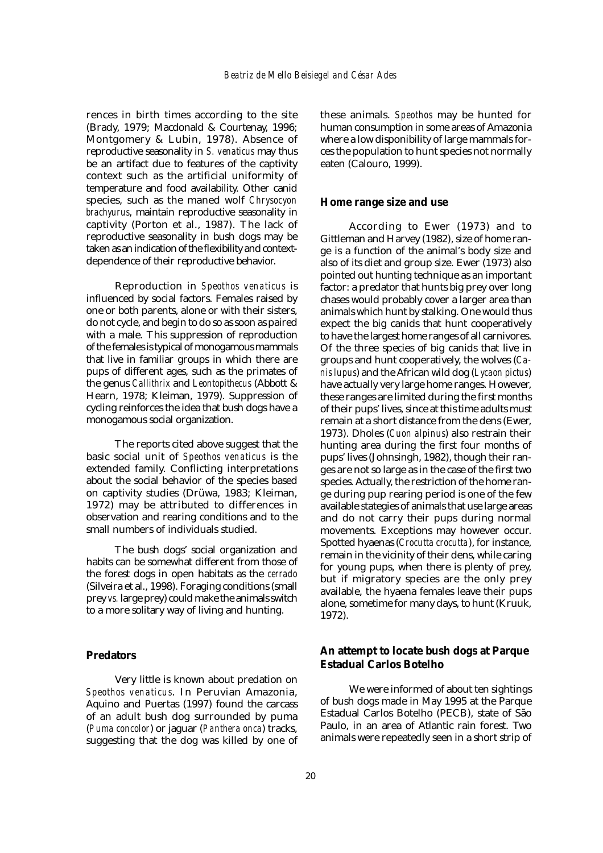rences in birth times according to the site (Brady, 1979; Macdonald & Courtenay, 1996; Montgomery & Lubin, 1978). Absence of reproductive seasonality in *S. venaticus* may thus be an artifact due to features of the captivity context such as the artificial uniformity of temperature and food availability. Other canid species, such as the maned wolf *Chrysocyon brachyurus*, maintain reproductive seasonality in captivity (Porton et al., 1987). The lack of reproductive seasonality in bush dogs may be taken as an indication of the flexibility and contextdependence of their reproductive behavior.

Reproduction in *Speothos venaticus* is influenced by social factors. Females raised by one or both parents, alone or with their sisters, do not cycle, and begin to do so as soon as paired with a male. This suppression of reproduction of the females is typical of monogamous mammals that live in familiar groups in which there are pups of different ages, such as the primates of the genus *Callithrix* and *Leontopithecus* (Abbott & Hearn, 1978; Kleiman, 1979). Suppression of cycling reinforces the idea that bush dogs have a monogamous social organization.

The reports cited above suggest that the basic social unit of *Speothos venaticus* is the extended family. Conflicting interpretations about the social behavior of the species based on captivity studies (Drüwa, 1983; Kleiman, 1972) may be attributed to differences in observation and rearing conditions and to the small numbers of individuals studied.

The bush dogs' social organization and habits can be somewhat different from those of the forest dogs in open habitats as the *cerrado* (Silveira et al., 1998). Foraging conditions (small prey *vs.* large prey) could make the animals switch to a more solitary way of living and hunting.

## **Predators**

Very little is known about predation on *Speothos venaticus*. In Peruvian Amazonia, Aquino and Puertas (1997) found the carcass of an adult bush dog surrounded by puma (*Puma concolor*) or jaguar (*Panthera onca*) tracks, suggesting that the dog was killed by one of these animals. *Speothos* may be hunted for human consumption in some areas of Amazonia where a low disponibility of large mammals forces the population to hunt species not normally eaten (Calouro, 1999).

### **Home range size and use**

According to Ewer (1973) and to Gittleman and Harvey (1982), size of home range is a function of the animal's body size and also of its diet and group size. Ewer (1973) also pointed out hunting technique as an important factor: a predator that hunts big prey over long chases would probably cover a larger area than animals which hunt by stalking. One would thus expect the big canids that hunt cooperatively to have the largest home ranges of all carnivores. Of the three species of big canids that live in groups and hunt cooperatively, the wolves (*Canis lupus*) and the African wild dog (*Lycaon pictus*) have actually very large home ranges. However, these ranges are limited during the first months of their pups' lives, since at this time adults must remain at a short distance from the dens (Ewer, 1973). Dholes (*Cuon alpinus*) also restrain their hunting area during the first four months of pups' lives (Johnsingh, 1982), though their ranges are not so large as in the case of the first two species. Actually, the restriction of the home range during pup rearing period is one of the few available stategies of animals that use large areas and do not carry their pups during normal movements. Exceptions may however occur. Spotted hyaenas (*Crocutta crocutta*), for instance, remain in the vicinity of their dens, while caring for young pups, when there is plenty of prey, but if migratory species are the only prey available, the hyaena females leave their pups alone, sometime for many days, to hunt (Kruuk, 1972).

# **An attempt to locate bush dogs at Parque Estadual Carlos Botelho**

We were informed of about ten sightings of bush dogs made in May 1995 at the Parque Estadual Carlos Botelho (PECB), state of São Paulo, in an area of Atlantic rain forest. Two animals were repeatedly seen in a short strip of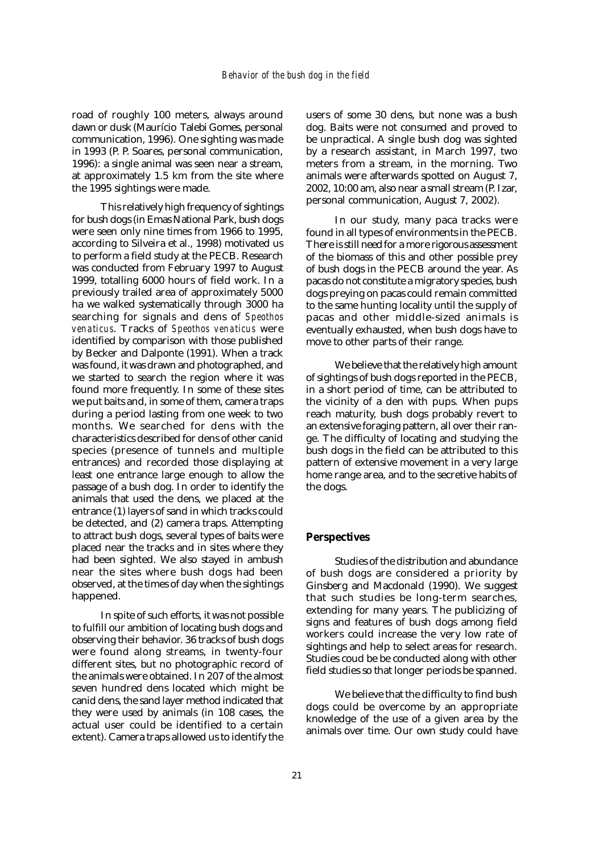road of roughly 100 meters, always around dawn or dusk (Maurício Talebi Gomes, personal communication, 1996). One sighting was made in 1993 (P. P. Soares, personal communication, 1996): a single animal was seen near a stream, at approximately 1.5 km from the site where the 1995 sightings were made.

This relatively high frequency of sightings for bush dogs (in Emas National Park, bush dogs were seen only nine times from 1966 to 1995, according to Silveira et al., 1998) motivated us to perform a field study at the PECB. Research was conducted from February 1997 to August 1999, totalling 6000 hours of field work. In a previously trailed area of approximately 5000 ha we walked systematically through 3000 ha searching for signals and dens of *Speothos venaticus*. Tracks of *Speothos venaticus* were identified by comparison with those published by Becker and Dalponte (1991). When a track was found, it was drawn and photographed, and we started to search the region where it was found more frequently. In some of these sites we put baits and, in some of them, camera traps during a period lasting from one week to two months. We searched for dens with the characteristics described for dens of other canid species (presence of tunnels and multiple entrances) and recorded those displaying at least one entrance large enough to allow the passage of a bush dog. In order to identify the animals that used the dens, we placed at the entrance (1) layers of sand in which tracks could be detected, and (2) camera traps. Attempting to attract bush dogs, several types of baits were placed near the tracks and in sites where they had been sighted. We also stayed in ambush near the sites where bush dogs had been observed, at the times of day when the sightings happened.

In spite of such efforts, it was not possible to fulfill our ambition of locating bush dogs and observing their behavior. 36 tracks of bush dogs were found along streams, in twenty-four different sites, but no photographic record of the animals were obtained. In 207 of the almost seven hundred dens located which might be canid dens, the sand layer method indicated that they were used by animals (in 108 cases, the actual user could be identified to a certain extent). Camera traps allowed us to identify the

users of some 30 dens, but none was a bush dog. Baits were not consumed and proved to be unpractical. A single bush dog was sighted by a research assistant, in March 1997, two meters from a stream, in the morning. Two animals were afterwards spotted on August 7, 2002, 10:00 am, also near a small stream (P. Izar, personal communication, August 7, 2002).

In our study, many paca tracks were found in all types of environments in the PECB. There is still need for a more rigorous assessment of the biomass of this and other possible prey of bush dogs in the PECB around the year. As pacas do not constitute a migratory species, bush dogs preying on pacas could remain committed to the same hunting locality until the supply of pacas and other middle-sized animals is eventually exhausted, when bush dogs have to move to other parts of their range.

We believe that the relatively high amount of sightings of bush dogs reported in the PECB, in a short period of time, can be attributed to the vicinity of a den with pups. When pups reach maturity, bush dogs probably revert to an extensive foraging pattern, all over their range. The difficulty of locating and studying the bush dogs in the field can be attributed to this pattern of extensive movement in a very large home range area, and to the secretive habits of the dogs.

## **Perspectives**

Studies of the distribution and abundance of bush dogs are considered a priority by Ginsberg and Macdonald (1990). We suggest that such studies be long-term searches, extending for many years. The publicizing of signs and features of bush dogs among field workers could increase the very low rate of sightings and help to select areas for research. Studies coud be be conducted along with other field studies so that longer periods be spanned.

We believe that the difficulty to find bush dogs could be overcome by an appropriate knowledge of the use of a given area by the animals over time. Our own study could have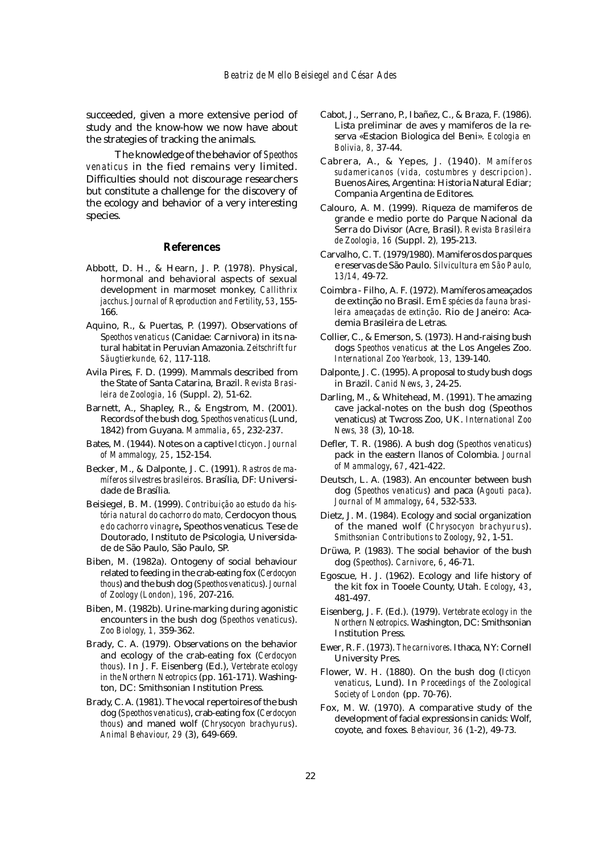succeeded, given a more extensive period of study and the know-how we now have about the strategies of tracking the animals.

The knowledge of the behavior of *Speothos venaticus* in the fied remains very limited. Difficulties should not discourage researchers but constitute a challenge for the discovery of the ecology and behavior of a very interesting species.

#### **References**

- Abbott, D. H., & Hearn, J. P. (1978). Physical, hormonal and behavioral aspects of sexual development in marmoset monkey, *Callithrix jacchus*. *Journal of Reproduction and Fertility*, *53*, 155- 166.
- Aquino, R., & Puertas, P. (1997). Observations of S*peothos venaticus* (Canidae: Carnivora) in its natural habitat in Peruvian Amazonia. *Zeitschrift fur Säugtierkunde, 62,* 117-118.
- Avila Pires, F. D. (1999). Mammals described from the State of Santa Catarina, Brazil. *Revista Brasileira de Zoologia, 16* (Suppl. 2)*,* 51-62.
- Barnett, A., Shapley, R., & Engstrom, M. (2001). Records of the bush dog*, Speothos venaticus* (Lund, 1842) from Guyana. *Mammalia*, *65*, 232-237.
- Bates, M. (1944). Notes on a captive *Icticyon*. *Journal of Mammalogy, 25*, 152-154.
- Becker, M., & Dalponte, J. C. (1991). *Rastros de mamíferos silvestres brasileiros*. Brasília, DF: Universidade de Brasília.
- Beisiegel, B. M. (1999). *Contribuição ao estudo da história natural do cachorro do mato,* Cerdocyon thous*, e do cachorro vinagre,* Speothos venaticus*.* Tese de Doutorado, Instituto de Psicologia, Universidade de São Paulo, São Paulo, SP.
- Biben, M. (1982a). Ontogeny of social behaviour related to feeding in the crab-eating fox (*Cerdocyon thous*) and the bush dog (*Speothos venaticus*). *Journal of Zoology (London), 196,* 207-216.
- Biben, M. (1982b). Urine-marking during agonistic encounters in the bush dog (*Speothos venaticus*). *Zoo Biology, 1,* 359-362.
- Brady, C. A. (1979). Observations on the behavior and ecology of the crab-eating fox (*Cerdocyon thous*). In J. F. Eisenberg (Ed.), *Vertebrate ecology in the Northern Neotropics* (pp. 161-171). Washington, DC: Smithsonian Institution Press.
- Brady, C. A. (1981). The vocal repertoires of the bush dog (*Speothos venaticus*), crab-eating fox (*Cerdocyon thous*) and maned wolf (*Chrysocyon brachyurus*). *Animal Behaviour, 29* (3), 649-669.
- Cabot, J., Serrano, P., Ibañez, C., & Braza, F. (1986). Lista preliminar de aves y mamiferos de la reserva «Estacion Biologica del Beni». *Ecologia en Bolivia, 8,* 37-44.
- Cabrera, A., & Yepes, J. (1940). *Mamíferos sudamericanos (vida, costumbres y descripcion)*. Buenos Aires, Argentina: Historia Natural Ediar; Compania Argentina de Editores.
- Calouro, A. M. (1999). Riqueza de mamiferos de grande e medio porte do Parque Nacional da Serra do Divisor (Acre, Brasil). *Revista Brasileira de Zoologia, 16* (Suppl. 2)*,* 195-213.
- Carvalho, C. T. (1979/1980). Mamiferos dos parques e reservas de São Paulo. *Silvicultura em São Paulo, 13/14,* 49-72.
- Coimbra Filho, A. F. (1972). Mamíferos ameaçados de extinção no Brasil. Em *Espécies da fauna brasileira ameaçadas de extinção*. Rio de Janeiro: Academia Brasileira de Letras.
- Collier, C., & Emerson, S. (1973). Hand-raising bush dogs *Speothos venaticus* at the Los Angeles Zoo. *International Zoo Yearbook, 13,* 139-140.
- Dalponte, J. C. (1995). A proposal to study bush dogs in Brazil. *Canid News*, *3*, 24-25.
- Darling, M., & Whitehead, M. (1991). The amazing cave jackal-notes on the bush dog (Speothos venaticus) at Twcross Zoo, UK. *International Zoo News, 38* (3), 10-18.
- Defler, T. R. (1986). A bush dog (*Speothos venaticus*) pack in the eastern llanos of Colombia. *Journal of Mammalogy*, *67*, 421-422.
- Deutsch, L. A. (1983). An encounter between bush dog (*Speothos venaticus*) and paca (*Agouti paca*). *Journal of Mammalogy*, *64*, 532-533.
- Dietz, J. M. (1984). Ecology and social organization of the maned wolf (*Chrysocyon brachyurus*). *Smithsonian Contributions to Zoology*, *92*, 1-51.
- Drüwa, P. (1983). The social behavior of the bush dog (*Speothos*). *Carnivore*, *6*, 46-71.
- Egoscue, H. J. (1962). Ecology and life history of the kit fox in Tooele County, Utah. *Ecology*, *43*, 481-497.
- Eisenberg, J. F. (Ed.). (1979). *Vertebrate ecology in the Northern Neotropics*. Washington, DC: Smithsonian Institution Press.
- Ewer, R. F. (1973). *The carnivores*. Ithaca, NY: Cornell University Pres.
- Flower, W. H. (1880). On the bush dog (*Icticyon venaticus*, Lund). In *Proceedings of the Zoological Society of London* (pp. 70-76).
- Fox, M. W. (1970). A comparative study of the development of facial expressions in canids: Wolf, coyote, and foxes. *Behaviour, 36* (1-2), 49-73.